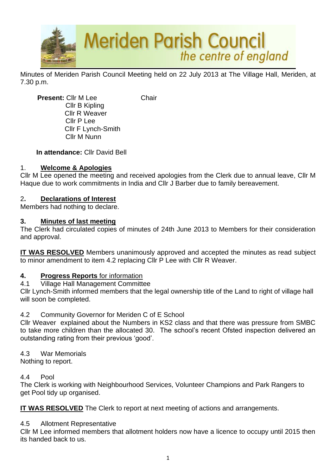

Minutes of Meriden Parish Council Meeting held on 22 July 2013 at The Village Hall, Meriden, at 7.30 p.m.

**Present:** Cllr M Lee Chair Cllr B Kipling Cllr R Weaver Cllr P Lee Cllr F Lynch-Smith Cllr M Nunn

### **In attendance:** Cllr David Bell

## 1. **Welcome & Apologies**

Cllr M Lee opened the meeting and received apologies from the Clerk due to annual leave, Cllr M Haque due to work commitments in India and Cllr J Barber due to family bereavement.

### 2**. Declarations of Interest**

Members had nothing to declare.

#### **3. Minutes of last meeting**

The Clerk had circulated copies of minutes of 24th June 2013 to Members for their consideration and approval.

**IT WAS RESOLVED** Members unanimously approved and accepted the minutes as read subject to minor amendment to item 4.2 replacing Cllr P Lee with Cllr R Weaver.

#### **4. Progress Reports** for information

4.1 Village Hall Management Committee

Cllr Lynch-Smith informed members that the legal ownership title of the Land to right of village hall will soon be completed.

#### 4.2 Community Governor for Meriden C of E School

Cllr Weaver explained about the Numbers in KS2 class and that there was pressure from SMBC to take more children than the allocated 30. The school's recent Ofsted inspection delivered an outstanding rating from their previous 'good'.

#### 4.3 War Memorials

Nothing to report.

#### 4.4 Pool

The Clerk is working with Neighbourhood Services, Volunteer Champions and Park Rangers to get Pool tidy up organised.

**IT WAS RESOLVED** The Clerk to report at next meeting of actions and arrangements.

#### 4.5 Allotment Representative

Cllr M Lee informed members that allotment holders now have a licence to occupy until 2015 then its handed back to us.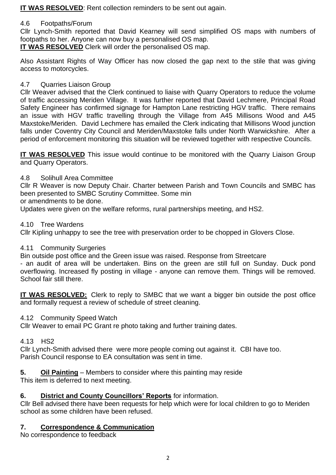**IT WAS RESOLVED**: Rent collection reminders to be sent out again.

## 4.6 Footpaths/Forum

Cllr Lynch-Smith reported that David Kearney will send simplified OS maps with numbers of footpaths to her. Anyone can now buy a personalised OS map.

**IT WAS RESOLVED** Clerk will order the personalised OS map.

Also Assistant Rights of Way Officer has now closed the gap next to the stile that was giving access to motorcycles.

# 4.7 Quarries Liaison Group

Cllr Weaver advised that the Clerk continued to liaise with Quarry Operators to reduce the volume of traffic accessing Meriden Village. It was further reported that David Lechmere, Principal Road Safety Engineer has confirmed signage for Hampton Lane restricting HGV traffic. There remains an issue with HGV traffic travelling through the Village from A45 Millisons Wood and A45 Maxstoke/Meriden. David Lechmere has emailed the Clerk indicating that Millisons Wood junction falls under Coventry City Council and Meriden/Maxstoke falls under North Warwickshire. After a period of enforcement monitoring this situation will be reviewed together with respective Councils.

**IT WAS RESOLVED** This issue would continue to be monitored with the Quarry Liaison Group and Quarry Operators.

## 4.8 Solihull Area Committee

Cllr R Weaver is now Deputy Chair. Charter between Parish and Town Councils and SMBC has been presented to SMBC Scrutiny Committee. Some min

or amendments to be done.

Updates were given on the welfare reforms, rural partnerships meeting, and HS2.

4.10 Tree Wardens

Cllr Kipling unhappy to see the tree with preservation order to be chopped in Glovers Close.

## 4.11 Community Surgeries

Bin outside post office and the Green issue was raised. Response from Streetcare

- an audit of area will be undertaken. Bins on the green are still full on Sunday. Duck pond overflowing. Increased fly posting in village - anyone can remove them. Things will be removed. School fair still there.

**IT WAS RESOLVED:** Clerk to reply to SMBC that we want a bigger bin outside the post office and formally request a review of schedule of street cleaning.

## 4.12 Community Speed Watch

Cllr Weaver to email PC Grant re photo taking and further training dates.

## 4.13 HS2

Cllr Lynch-Smith advised there were more people coming out against it. CBI have too. Parish Council response to EA consultation was sent in time.

**5. Oil Painting** – Members to consider where this painting may reside

This item is deferred to next meeting.

## **6. District and County Councillors' Reports** for information.

Cllr Bell advised there have been requests for help which were for local children to go to Meriden school as some children have been refused.

# **7. Correspondence & Communication**

No correspondence to feedback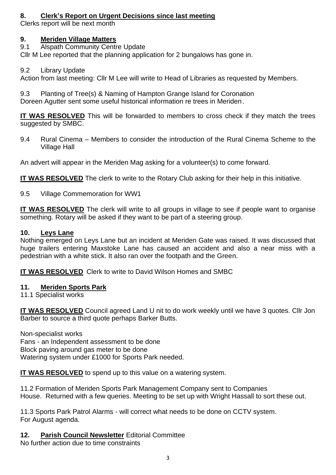# **8. Clerk's Report on Urgent Decisions since last meeting**

Clerks report will be next month

# **9. Meriden Village Matters**

9.1 Alspath Community Centre Update

Cllr M Lee reported that the planning application for 2 bungalows has gone in.

# 9.2 Library Update

Action from last meeting: Cllr M Lee will write to Head of Libraries as requested by Members.

9.3 Planting of Tree(s) & Naming of Hampton Grange Island for Coronation Doreen Agutter sent some useful historical information re trees in Meriden.

**IT WAS RESOLVED** This will be forwarded to members to cross check if they match the trees suggested by SMBC.

9.4 Rural Cinema – Members to consider the introduction of the Rural Cinema Scheme to the Village Hall

An advert will appear in the Meriden Mag asking for a volunteer(s) to come forward.

**IT WAS RESOLVED** The clerk to write to the Rotary Club asking for their help in this initiative.

9.5 Village Commemoration for WW1

**IT WAS RESOLVED** The clerk will write to all groups in village to see if people want to organise something. Rotary will be asked if they want to be part of a steering group.

# **10. Leys Lane**

Nothing emerged on Leys Lane but an incident at Meriden Gate was raised. It was discussed that huge trailers entering Maxstoke Lane has caused an accident and also a near miss with a pedestrian with a white stick. It also ran over the footpath and the Green.

**IT WAS RESOLVED** Clerk to write to David Wilson Homes and SMBC

## **11. Meriden Sports Park**

11.1 Specialist works

**IT WAS RESOLVED** Council agreed Land U nit to do work weekly until we have 3 quotes. Cllr Jon Barber to source a third quote perhaps Barker Butts.

Non-specialist works Fans - an Independent assessment to be done Block paving around gas meter to be done Watering system under £1000 for Sports Park needed.

**IT WAS RESOLVED** to spend up to this value on a watering system.

11.2 Formation of Meriden Sports Park Management Company sent to Companies House. Returned with a few queries. Meeting to be set up with Wright Hassall to sort these out.

11.3 Sports Park Patrol Alarms - will correct what needs to be done on CCTV system. For August agenda.

**12. Parish Council Newsletter** Editorial Committee

No further action due to time constraints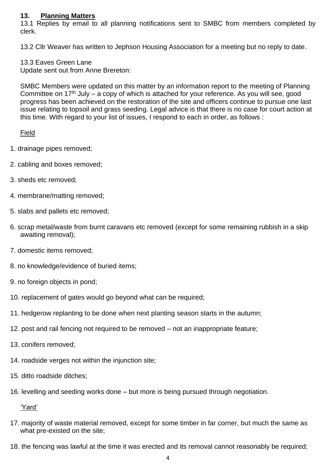#### **13. Planning Matters**

13.1 Replies by email to all planning notifications sent to SMBC from members completed by clerk.

13.2 Cllr Weaver has written to Jephson Housing Association for a meeting but no reply to date.

#### 13.3 Eaves Green Lane

Update sent out from Anne Brereton:

SMBC Members were updated on this matter by an information report to the meeting of Planning Committee on  $17<sup>th</sup>$  July – a copy of which is attached for your reference. As you will see, good progress has been achieved on the restoration of the site and officers continue to pursue one last issue relating to topsoil and grass seeding. Legal advice is that there is no case for court action at this time. With regard to your list of issues, I respond to each in order, as follows :

Field

- 1. drainage pipes removed;
- 2. cabling and boxes removed;
- 3. sheds etc removed;
- 4. membrane/matting removed;
- 5. slabs and pallets etc removed;
- 6. scrap metal/waste from burnt caravans etc removed (except for some remaining rubbish in a skip awaiting removal);
- 7. domestic items removed;
- 8. no knowledge/evidence of buried items;
- 9. no foreign objects in pond;
- 10. replacement of gates would go beyond what can be required;
- 11. hedgerow replanting to be done when next planting season starts in the autumn;
- 12. post and rail fencing not required to be removed not an inappropriate feature;
- 13. conifers removed;
- 14. roadside verges not within the injunction site;
- 15. ditto roadside ditches;
- 16. levelling and seeding works done but more is being pursued through negotiation.

'Yard'

- 17. majority of waste material removed, except for some timber in far corner, but much the same as what pre-existed on the site;
- 18. the fencing was lawful at the time it was erected and its removal cannot reasonably be required;